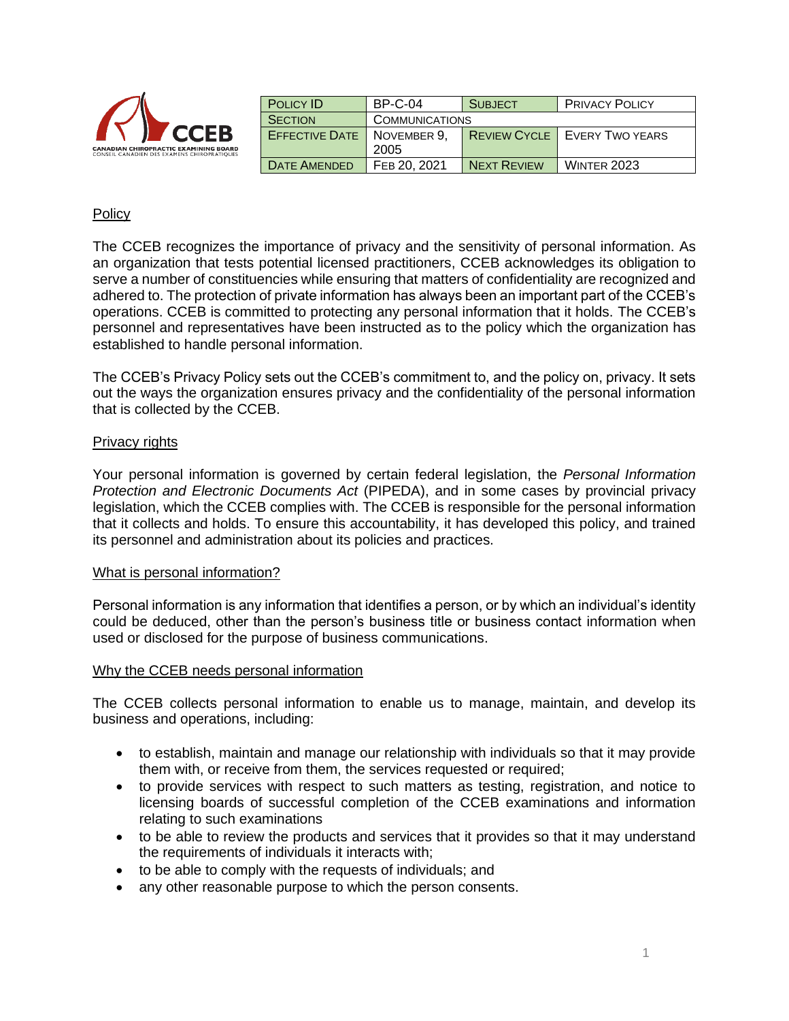| <sup>V</sup> CCEB                                                                           | <b>POLICY ID</b>      | <b>BP-C-04</b>        | <b>SUBJECT</b>      | <b>PRIVACY POLICY</b>  |
|---------------------------------------------------------------------------------------------|-----------------------|-----------------------|---------------------|------------------------|
|                                                                                             | <b>SECTION</b>        | <b>COMMUNICATIONS</b> |                     |                        |
|                                                                                             | <b>EFFECTIVE DATE</b> | NOVEMBER 9.           | <b>REVIEW CYCLE</b> | <b>EVERY TWO YEARS</b> |
| <b>CANADIAN CHIROPRACTIC EXAMINING BOARD</b><br>CONSEIL CANADIEN DES EXAMENS CHIROPRATIQUES |                       | 2005                  |                     |                        |
|                                                                                             | <b>DATE AMENDED</b>   | FEB 20, 2021          | <b>NEXT REVIEW</b>  | <b>WINTER 2023</b>     |

## Policy

The CCEB recognizes the importance of privacy and the sensitivity of personal information. As an organization that tests potential licensed practitioners, CCEB acknowledges its obligation to serve a number of constituencies while ensuring that matters of confidentiality are recognized and adhered to. The protection of private information has always been an important part of the CCEB's operations. CCEB is committed to protecting any personal information that it holds. The CCEB's personnel and representatives have been instructed as to the policy which the organization has established to handle personal information.

The CCEB's Privacy Policy sets out the CCEB's commitment to, and the policy on, privacy. It sets out the ways the organization ensures privacy and the confidentiality of the personal information that is collected by the CCEB.

### Privacy rights

Your personal information is governed by certain federal legislation, the *Personal Information Protection and Electronic Documents Act* (PIPEDA), and in some cases by provincial privacy legislation, which the CCEB complies with. The CCEB is responsible for the personal information that it collects and holds. To ensure this accountability, it has developed this policy, and trained its personnel and administration about its policies and practices.

### What is personal information?

Personal information is any information that identifies a person, or by which an individual's identity could be deduced, other than the person's business title or business contact information when used or disclosed for the purpose of business communications.

### Why the CCEB needs personal information

The CCEB collects personal information to enable us to manage, maintain, and develop its business and operations, including:

- to establish, maintain and manage our relationship with individuals so that it may provide them with, or receive from them, the services requested or required;
- to provide services with respect to such matters as testing, registration, and notice to licensing boards of successful completion of the CCEB examinations and information relating to such examinations
- to be able to review the products and services that it provides so that it may understand the requirements of individuals it interacts with;
- to be able to comply with the requests of individuals; and
- any other reasonable purpose to which the person consents.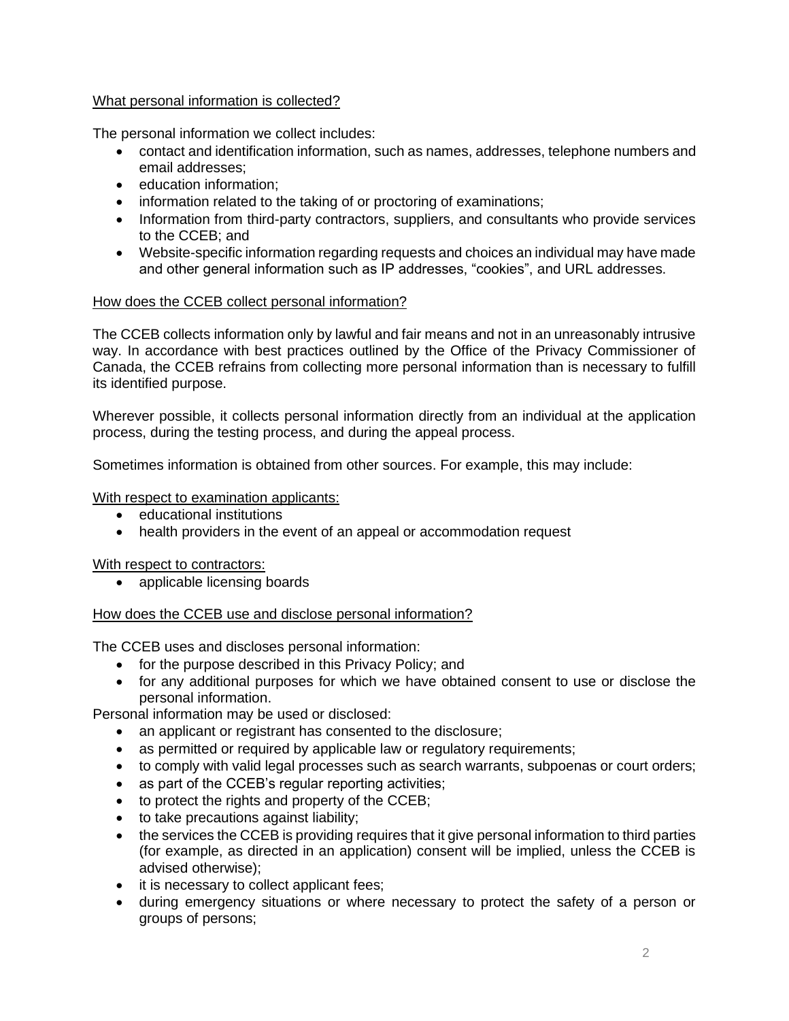# What personal information is collected?

The personal information we collect includes:

- contact and identification information, such as names, addresses, telephone numbers and email addresses;
- education information;
- information related to the taking of or proctoring of examinations;
- Information from third-party contractors, suppliers, and consultants who provide services to the CCEB; and
- Website-specific information regarding requests and choices an individual may have made and other general information such as IP addresses, "cookies", and URL addresses.

# How does the CCEB collect personal information?

The CCEB collects information only by lawful and fair means and not in an unreasonably intrusive way. In accordance with best practices outlined by the Office of the Privacy Commissioner of Canada, the CCEB refrains from collecting more personal information than is necessary to fulfill its identified purpose.

Wherever possible, it collects personal information directly from an individual at the application process, during the testing process, and during the appeal process.

Sometimes information is obtained from other sources. For example, this may include:

## With respect to examination applicants:

- educational institutions
- health providers in the event of an appeal or accommodation request

## With respect to contractors:

• applicable licensing boards

## How does the CCEB use and disclose personal information?

The CCEB uses and discloses personal information:

- for the purpose described in this Privacy Policy; and
- for any additional purposes for which we have obtained consent to use or disclose the personal information.

Personal information may be used or disclosed:

- an applicant or registrant has consented to the disclosure;
- as permitted or required by applicable law or requiatory requirements;
- to comply with valid legal processes such as search warrants, subpoenas or court orders;
- as part of the CCEB's regular reporting activities;
- to protect the rights and property of the CCEB;
- to take precautions against liability;
- the services the CCEB is providing requires that it give personal information to third parties (for example, as directed in an application) consent will be implied, unless the CCEB is advised otherwise);
- it is necessary to collect applicant fees;
- during emergency situations or where necessary to protect the safety of a person or groups of persons;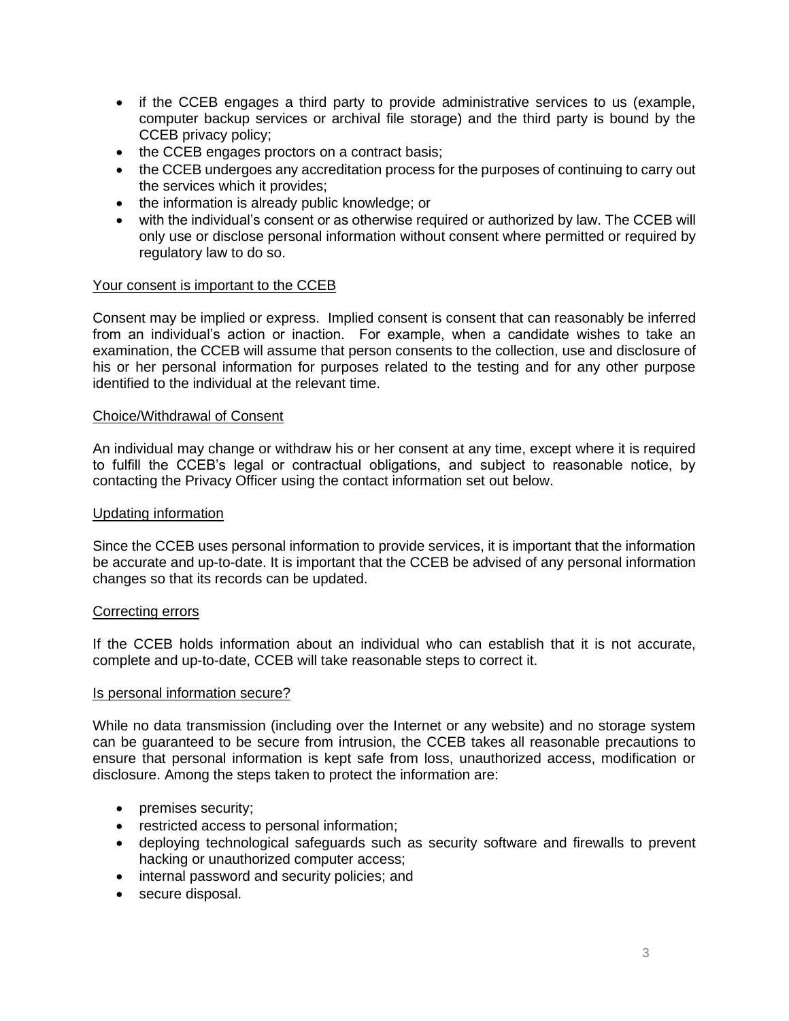- if the CCEB engages a third party to provide administrative services to us (example, computer backup services or archival file storage) and the third party is bound by the CCEB privacy policy;
- the CCEB engages proctors on a contract basis;
- the CCEB undergoes any accreditation process for the purposes of continuing to carry out the services which it provides;
- the information is already public knowledge; or
- with the individual's consent or as otherwise required or authorized by law. The CCEB will only use or disclose personal information without consent where permitted or required by regulatory law to do so.

### Your consent is important to the CCEB

Consent may be implied or express. Implied consent is consent that can reasonably be inferred from an individual's action or inaction. For example, when a candidate wishes to take an examination, the CCEB will assume that person consents to the collection, use and disclosure of his or her personal information for purposes related to the testing and for any other purpose identified to the individual at the relevant time.

### Choice/Withdrawal of Consent

An individual may change or withdraw his or her consent at any time, except where it is required to fulfill the CCEB's legal or contractual obligations, and subject to reasonable notice, by contacting the Privacy Officer using the contact information set out below.

### Updating information

Since the CCEB uses personal information to provide services, it is important that the information be accurate and up-to-date. It is important that the CCEB be advised of any personal information changes so that its records can be updated.

### Correcting errors

If the CCEB holds information about an individual who can establish that it is not accurate, complete and up-to-date, CCEB will take reasonable steps to correct it.

#### Is personal information secure?

While no data transmission (including over the Internet or any website) and no storage system can be guaranteed to be secure from intrusion, the CCEB takes all reasonable precautions to ensure that personal information is kept safe from loss, unauthorized access, modification or disclosure. Among the steps taken to protect the information are:

- premises security;
- restricted access to personal information;
- deploying technological safeguards such as security software and firewalls to prevent hacking or unauthorized computer access;
- internal password and security policies; and
- secure disposal.